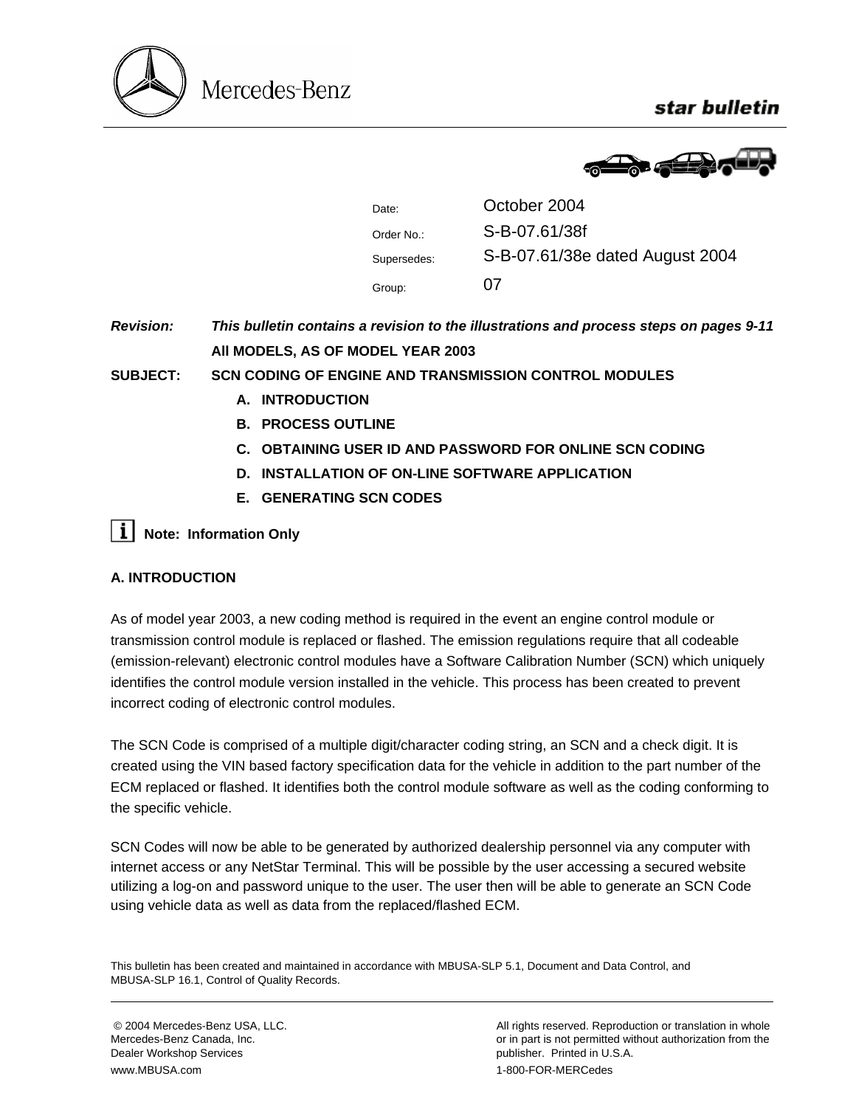

star bulletin



| Date:       | October 2004                    |
|-------------|---------------------------------|
| Order No.:  | S-B-07.61/38f                   |
| Supersedes: | S-B-07.61/38e dated August 2004 |
| Group:      | 07                              |

*Revision: This bulletin contains a revision to the illustrations and process steps on pages 9-11*  **All MODELS, AS OF MODEL YEAR 2003** 

**SUBJECT: SCN CODING OF ENGINE AND TRANSMISSION CONTROL MODULES**

- **A. INTRODUCTION**
- **B. PROCESS OUTLINE**
- **C. OBTAINING USER ID AND PASSWORD FOR ONLINE SCN CODING**
- **D. INSTALLATION OF ON-LINE SOFTWARE APPLICATION**
- **E. GENERATING SCN CODES**

**i** Note: Information Only

# **A. INTRODUCTION**

As of model year 2003, a new coding method is required in the event an engine control module or transmission control module is replaced or flashed. The emission regulations require that all codeable (emission-relevant) electronic control modules have a Software Calibration Number (SCN) which uniquely identifies the control module version installed in the vehicle. This process has been created to prevent incorrect coding of electronic control modules.

The SCN Code is comprised of a multiple digit/character coding string, an SCN and a check digit. It is created using the VIN based factory specification data for the vehicle in addition to the part number of the ECM replaced or flashed. It identifies both the control module software as well as the coding conforming to the specific vehicle.

SCN Codes will now be able to be generated by authorized dealership personnel via any computer with internet access or any NetStar Terminal. This will be possible by the user accessing a secured website utilizing a log-on and password unique to the user. The user then will be able to generate an SCN Code using vehicle data as well as data from the replaced/flashed ECM.

This bulletin has been created and maintained in accordance with MBUSA-SLP 5.1, Document and Data Control, and MBUSA-SLP 16.1, Control of Quality Records.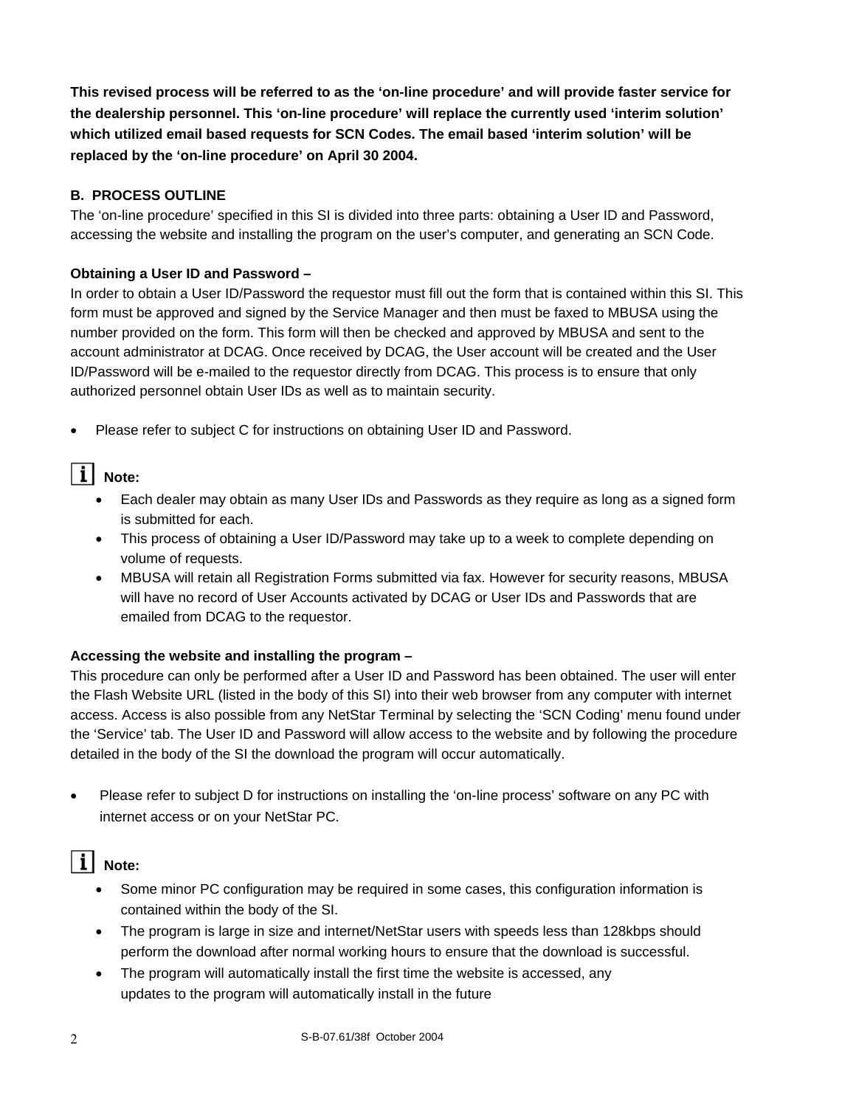**This revised process will be referred to as the 'on-line procedure' and will provide faster service for the dealership personnel. This 'on-line procedure' will replace the currently used 'interim solution' which utilized email based requests for SCN Codes. The email based 'interim solution' will be replaced by the 'on-line procedure' on April 30 2004.** 

## **B. PROCESS OUTLINE**

The 'on-line procedure' specified in this SI is divided into three parts: obtaining a User ID and Password, accessing the website and installing the program on the user's computer, and generating an SCN Code.

#### **Obtaining a User ID and Password –**

In order to obtain a User ID/Password the requestor must fill out the form that is contained within this SI. This form must be approved and signed by the Service Manager and then must be faxed to MBUSA using the number provided on the form. This form will then be checked and approved by MBUSA and sent to the account administrator at DCAG. Once received by DCAG, the User account will be created and the User ID/Password will be e-mailed to the requestor directly from DCAG. This process is to ensure that only authorized personnel obtain User IDs as well as to maintain security.

• Please refer to subject C for instructions on obtaining User ID and Password.

# $\overline{\mathbf{i}}$  Note:

- Each dealer may obtain as many User IDs and Passwords as they require as long as a signed form is submitted for each.
- This process of obtaining a User ID/Password may take up to a week to complete depending on volume of requests.
- MBUSA will retain all Registration Forms submitted via fax. However for security reasons, MBUSA will have no record of User Accounts activated by DCAG or User IDs and Passwords that are emailed from DCAG to the requestor.

# **Accessing the website and installing the program –**

This procedure can only be performed after a User ID and Password has been obtained. The user will enter the Flash Website URL (listed in the body of this SI) into their web browser from any computer with internet access. Access is also possible from any NetStar Terminal by selecting the 'SCN Coding' menu found under the 'Service' tab. The User ID and Password will allow access to the website and by following the procedure detailed in the body of the SI the download the program will occur automatically.

• Please refer to subject D for instructions on installing the 'on-line process' software on any PC with internet access or on your NetStar PC.

# II Note:

- Some minor PC configuration may be required in some cases, this configuration information is contained within the body of the SI.
- The program is large in size and internet/NetStar users with speeds less than 128kbps should perform the download after normal working hours to ensure that the download is successful.
- The program will automatically install the first time the website is accessed, any updates to the program will automatically install in the future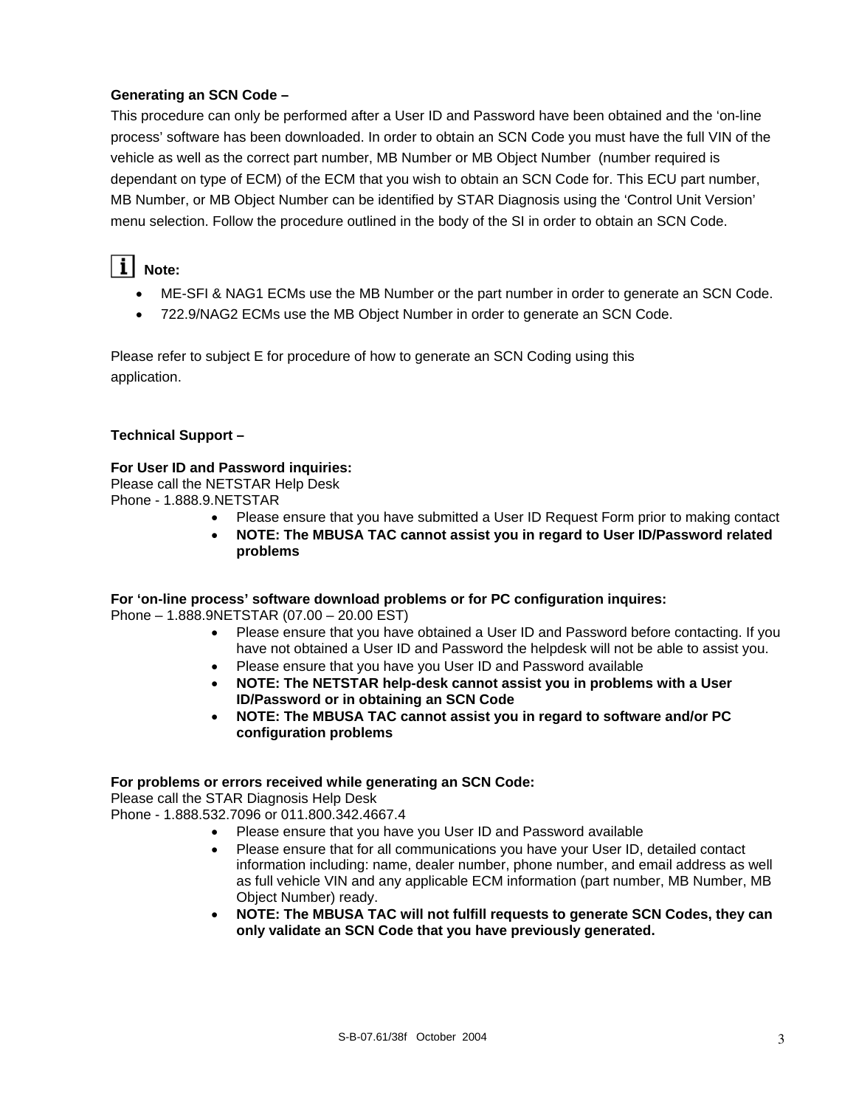## **Generating an SCN Code –**

This procedure can only be performed after a User ID and Password have been obtained and the 'on-line process' software has been downloaded. In order to obtain an SCN Code you must have the full VIN of the vehicle as well as the correct part number, MB Number or MB Object Number (number required is dependant on type of ECM) of the ECM that you wish to obtain an SCN Code for. This ECU part number, MB Number, or MB Object Number can be identified by STAR Diagnosis using the 'Control Unit Version' menu selection. Follow the procedure outlined in the body of the SI in order to obtain an SCN Code.

# $\lceil \mathbf{i} \rceil$  Note:

- ME-SFI & NAG1 ECMs use the MB Number or the part number in order to generate an SCN Code.
- 722.9/NAG2 ECMs use the MB Object Number in order to generate an SCN Code.

Please refer to subject E for procedure of how to generate an SCN Coding using this application.

## **Technical Support –**

#### **For User ID and Password inquiries:**

Please call the NETSTAR Help Desk

Phone - 1.888.9.NETSTAR

- Please ensure that you have submitted a User ID Request Form prior to making contact
- **NOTE: The MBUSA TAC cannot assist you in regard to User ID/Password related problems**

#### **For 'on-line process' software download problems or for PC configuration inquires:**

Phone – 1.888.9NETSTAR (07.00 – 20.00 EST)

- Please ensure that you have obtained a User ID and Password before contacting. If you have not obtained a User ID and Password the helpdesk will not be able to assist you.
- Please ensure that you have you User ID and Password available
- **NOTE: The NETSTAR help-desk cannot assist you in problems with a User ID/Password or in obtaining an SCN Code**
- **NOTE: The MBUSA TAC cannot assist you in regard to software and/or PC configuration problems**

#### **For problems or errors received while generating an SCN Code:**

Please call the STAR Diagnosis Help Desk

Phone - 1.888.532.7096 or 011.800.342.4667.4

- Please ensure that you have you User ID and Password available
- Please ensure that for all communications you have your User ID, detailed contact information including: name, dealer number, phone number, and email address as well as full vehicle VIN and any applicable ECM information (part number, MB Number, MB Object Number) ready.
- **NOTE: The MBUSA TAC will not fulfill requests to generate SCN Codes, they can only validate an SCN Code that you have previously generated.**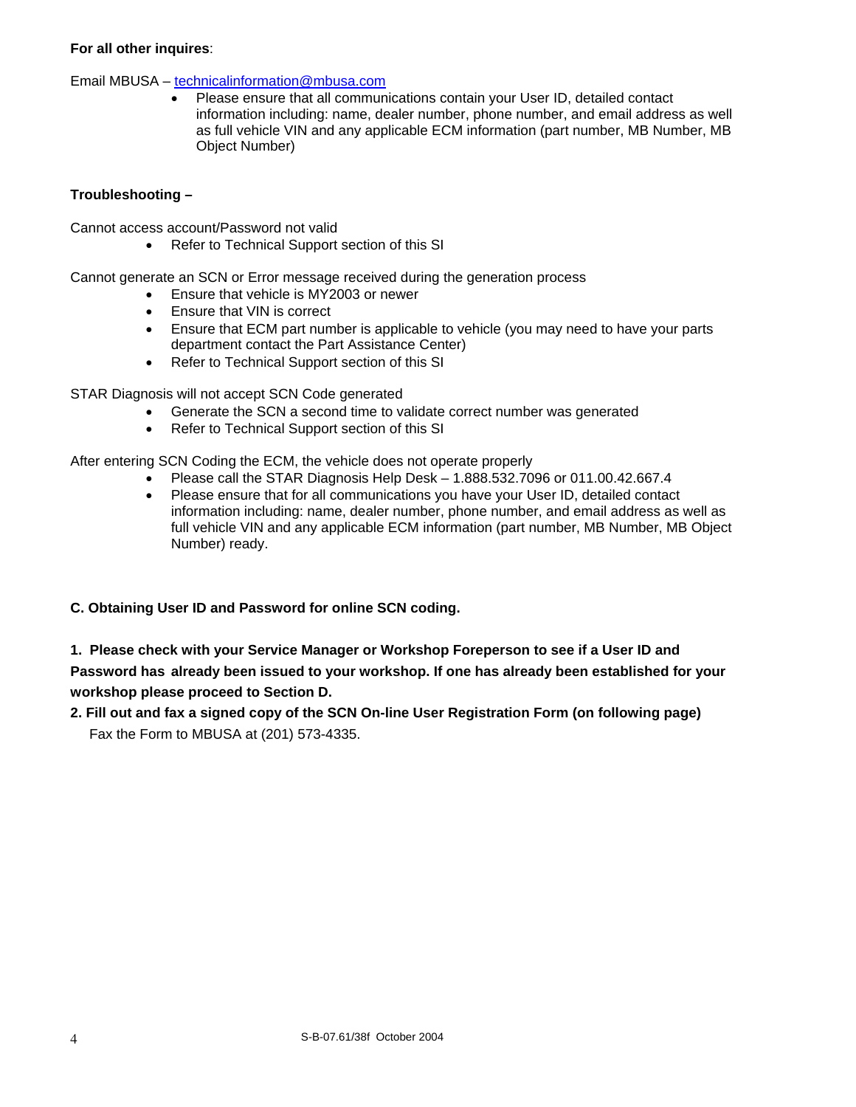#### **For all other inquires**:

#### Email MBUSA – technicalinformation@mbusa.com

• Please ensure that all communications contain your User ID, detailed contact information including: name, dealer number, phone number, and email address as well as full vehicle VIN and any applicable ECM information (part number, MB Number, MB Object Number)

#### **Troubleshooting –**

Cannot access account/Password not valid

• Refer to Technical Support section of this SI

Cannot generate an SCN or Error message received during the generation process

- Ensure that vehicle is MY2003 or newer
- Ensure that VIN is correct
- Ensure that ECM part number is applicable to vehicle (you may need to have your parts department contact the Part Assistance Center)
- Refer to Technical Support section of this SI

STAR Diagnosis will not accept SCN Code generated

- Generate the SCN a second time to validate correct number was generated
- Refer to Technical Support section of this SI

After entering SCN Coding the ECM, the vehicle does not operate properly

- Please call the STAR Diagnosis Help Desk 1.888.532.7096 or 011.00.42.667.4
- Please ensure that for all communications you have your User ID, detailed contact information including: name, dealer number, phone number, and email address as well as full vehicle VIN and any applicable ECM information (part number, MB Number, MB Object Number) ready.

# **C. Obtaining User ID and Password for online SCN coding.**

# **1. Please check with your Service Manager or Workshop Foreperson to see if a User ID and Password has already been issued to your workshop. If one has already been established for your workshop please proceed to Section D.**

**2. Fill out and fax a signed copy of the SCN On-line User Registration Form (on following page)**  Fax the Form to MBUSA at (201) 573-4335.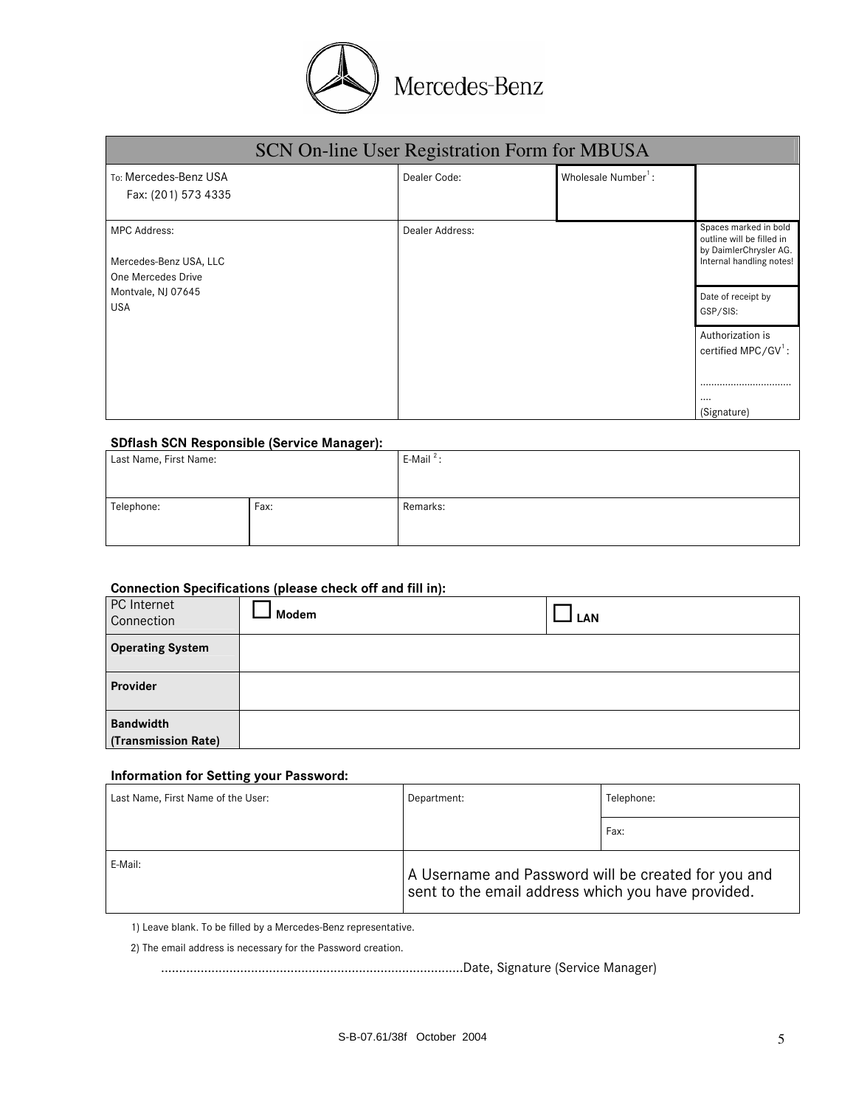

|                                                                     | SCN On-line User Registration Form for MBUSA |                                 |                                                                                                          |
|---------------------------------------------------------------------|----------------------------------------------|---------------------------------|----------------------------------------------------------------------------------------------------------|
| To: Mercedes-Benz USA<br>Fax: (201) 573 4335                        | Dealer Code:                                 | Wholesale Number <sup>1</sup> : |                                                                                                          |
| <b>MPC Address:</b><br>Mercedes-Benz USA, LLC<br>One Mercedes Drive | Dealer Address:                              |                                 | Spaces marked in bold<br>outline will be filled in<br>by DaimlerChrysler AG.<br>Internal handling notes! |
| Montvale, NJ 07645<br><b>USA</b>                                    |                                              |                                 | Date of receipt by<br>GSP/SIS:                                                                           |
|                                                                     |                                              |                                 | Authorization is<br>certified MPC/GV <sup>1</sup> :                                                      |
|                                                                     |                                              |                                 | <br><br>(Signature)                                                                                      |

#### **SDflash SCN Responsible (Service Manager):**

| Last Name, First Name: | $\tilde{\phantom{a}}$ | E-Mail <sup>2</sup> : |
|------------------------|-----------------------|-----------------------|
| Telephone:             | Fax:                  | Remarks:              |

#### **Connection Specifications (please check off and fill in):**

| PC Internet<br>Connection               | . .<br>Modem | LAN |
|-----------------------------------------|--------------|-----|
| <b>Operating System</b>                 |              |     |
| Provider                                |              |     |
| <b>Bandwidth</b><br>(Transmission Rate) |              |     |

#### **Information for Setting your Password:**

| Last Name, First Name of the User: | Department:                                                                                               | Telephone: |
|------------------------------------|-----------------------------------------------------------------------------------------------------------|------------|
|                                    |                                                                                                           | Fax:       |
| E-Mail:                            | A Username and Password will be created for you and<br>sent to the email address which you have provided. |            |

1) Leave blank. To be filled by a Mercedes-Benz representative.

2) The email address is necessary for the Password creation.

....................................................................................Date, Signature (Service Manager)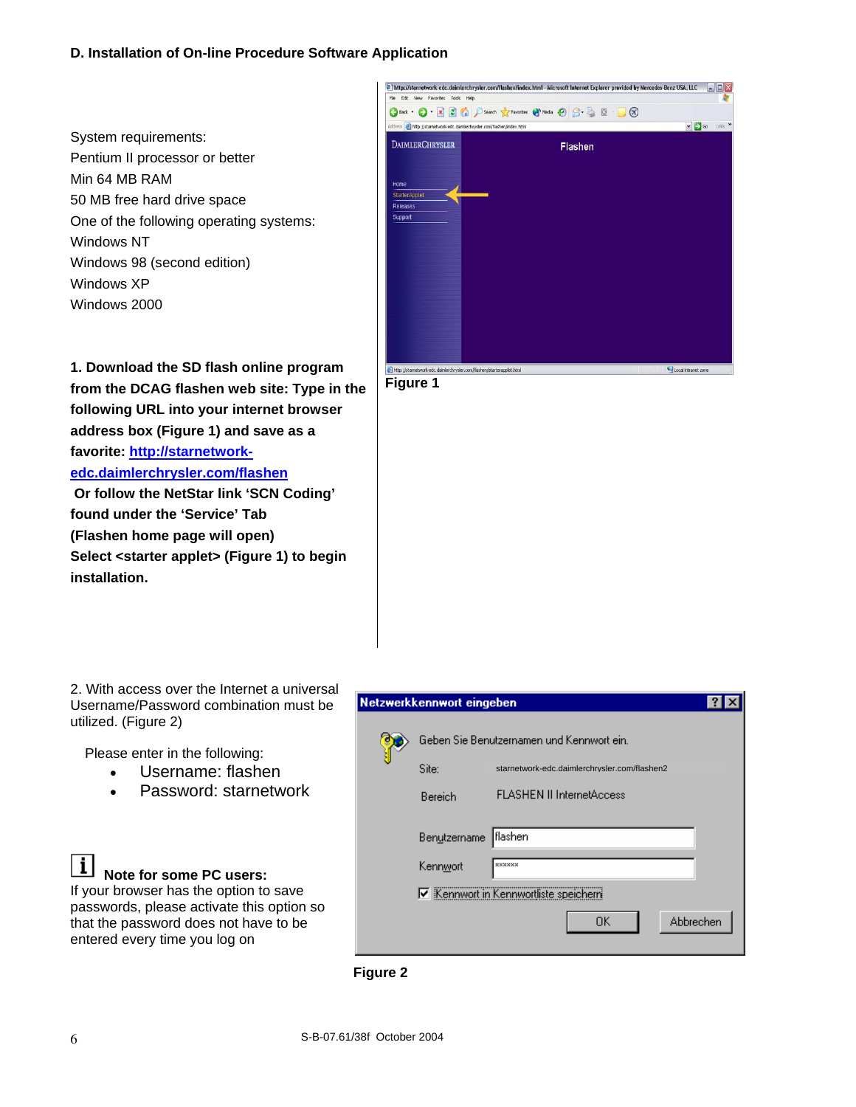#### **D. Installation of On-line Procedure Software Application**

System requirements: Pentium II processor or better Min 64 MB RAM 50 MB free hard drive space One of the following operating systems: Windows NT Windows 98 (second edition) Windows XP Windows 2000



**1. Download the SD flash online program from the DCAG flashen web site: Type in the following URL into your internet browser address box (Figure 1) and save as a favorite: http://starnetworkedc.daimlerchrysler.com/flashen**

 **Or follow the NetStar link 'SCN Coding' found under the 'Service' Tab (Flashen home page will open) Select <starter applet> (Figure 1) to begin installation.** 

**Figure 1** 

2. With access over the Internet a universal Username/Password combination must be utilized. (Figure 2)

Please enter in the following:

- Username: flashen
- Password: starnetwork

Ιl **Note for some PC users:** If your browser has the option to save passwords, please activate this option so that the password does not have to be entered every time you log on

| (letzwerkkennwort eingeben |                                              |
|----------------------------|----------------------------------------------|
|                            | Geben Sie Benutzernamen und Kennwort ein.    |
| Site:                      | starnetwork-edc.daimlerchrvsler.com/flashen2 |
| Bereich                    | <b>FLASHEN II InternetAccess</b>             |
| Benutzername               | ∥flashen                                     |
| Kennwort                   | xxxxxx                                       |
|                            | Kennwort in Kennwortliste speicherri         |
|                            | Abbrechen<br>0K                              |

**Figure 2**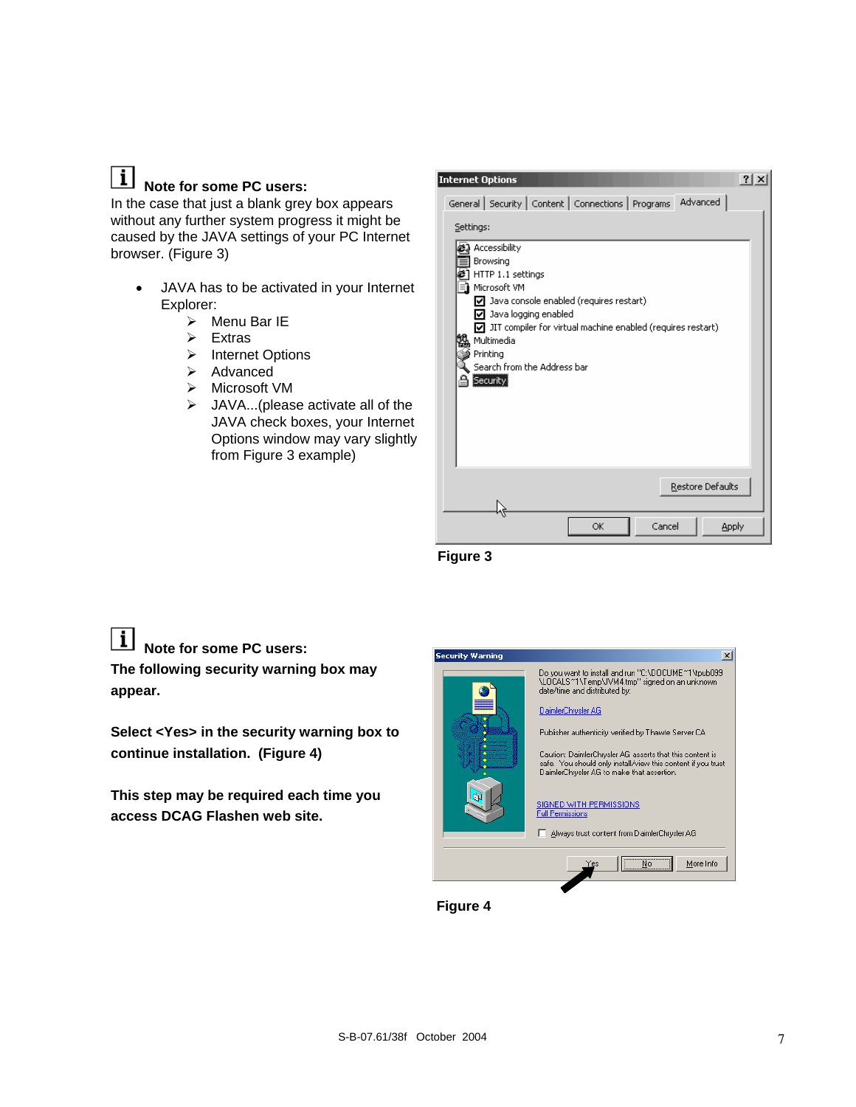# **Note for some PC users:**

In the case that just a blank grey box appears without any further system progress it might be caused by the JAVA settings of your PC Internet browser. (Figure 3)

- JAVA has to be activated in your Internet Explorer:
	- $\triangleright$  Menu Bar IE
	- $\triangleright$  Extras
	- ¾ Internet Options
	- $\triangleright$  Advanced
	- $\triangleright$  Microsoft VM
	- $\triangleright$  JAVA...(please activate all of the JAVA check boxes, your Internet Options window may vary slightly from Figure 3 example)

| $?$ $\times$<br><b>Internet Options</b>                                                                                                                                                                                                                                                                 |
|---------------------------------------------------------------------------------------------------------------------------------------------------------------------------------------------------------------------------------------------------------------------------------------------------------|
| Advanced<br>General Security   Content   Connections   Programs                                                                                                                                                                                                                                         |
| Settings:                                                                                                                                                                                                                                                                                               |
| Accessibility<br>Browsing<br>HTTP 1.1 settings<br>Microsoft VM<br>$\nabla$ Java console enabled (requires restart)<br>$\nabla$ Java logging enabled<br>$\nabla$ JIT compiler for virtual machine enabled (requires restart)<br>Multimedia<br>Printing<br>Search from the Address bar<br><b>Security</b> |
| Restore Defaults                                                                                                                                                                                                                                                                                        |
| Cancel<br>OK<br>Apply                                                                                                                                                                                                                                                                                   |

 **Figure 3** 

**Note for some PC users:** 

**The following security warning box may appear.** 

**Select <Yes> in the security warning box to continue installation. (Figure 4)** 

**This step may be required each time you access DCAG Flashen web site.** 



 **Figure 4**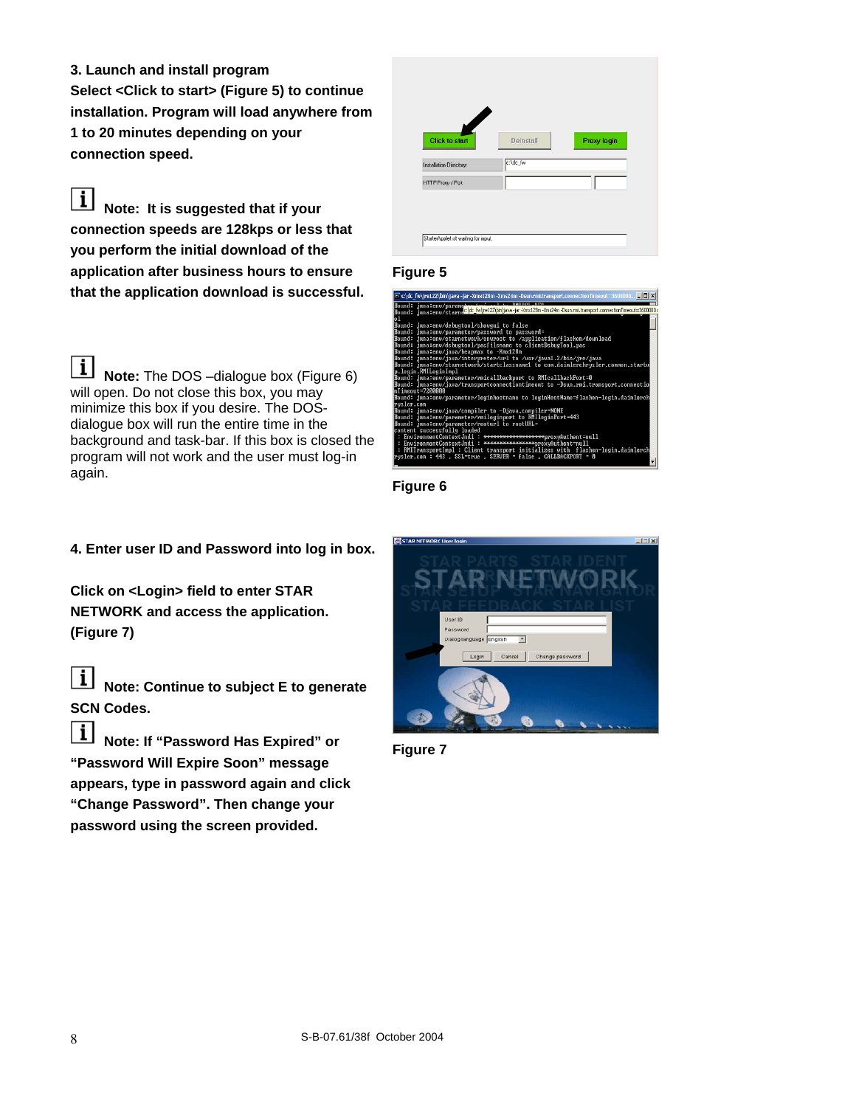**3. Launch and install program Select <Click to start> (Figure 5) to continue installation. Program will load anywhere from 1 to 20 minutes depending on your connection speed.** 

 $\vert \mathbf{i} \vert$ **Note: It is suggested that if your connection speeds are 128kps or less that you perform the initial download of the application after business hours to ensure that the application download is successful.** 

 $1$ **Note:** The DOS –dialogue box (Figure 6) will open. Do not close this box, you may minimize this box if you desire. The DOSdialogue box will run the entire time in the background and task-bar. If this box is closed the program will not work and the user must log-in again.

# **4. Enter user ID and Password into log in box.**

**Click on <Login> field to enter STAR NETWORK and access the application. (Figure 7)** 



**Note: Continue to subject E to generate SCN Codes.** 

 $\lfloor i \rfloor$ **Note: If "Password Has Expired" or "Password Will Expire Soon" message appears, type in password again and click "Change Password". Then change your password using the screen provided.** 

| $\overline{\mathscr{A}}$<br><b>Click to start</b> | Deinstall | Proxy login |
|---------------------------------------------------|-----------|-------------|
| Installation Directory:                           | c:\dc_fw  |             |
| HTTP Proxy / Port                                 |           |             |

#### **Figure 5**



**Figure 6** 



**Figure 7**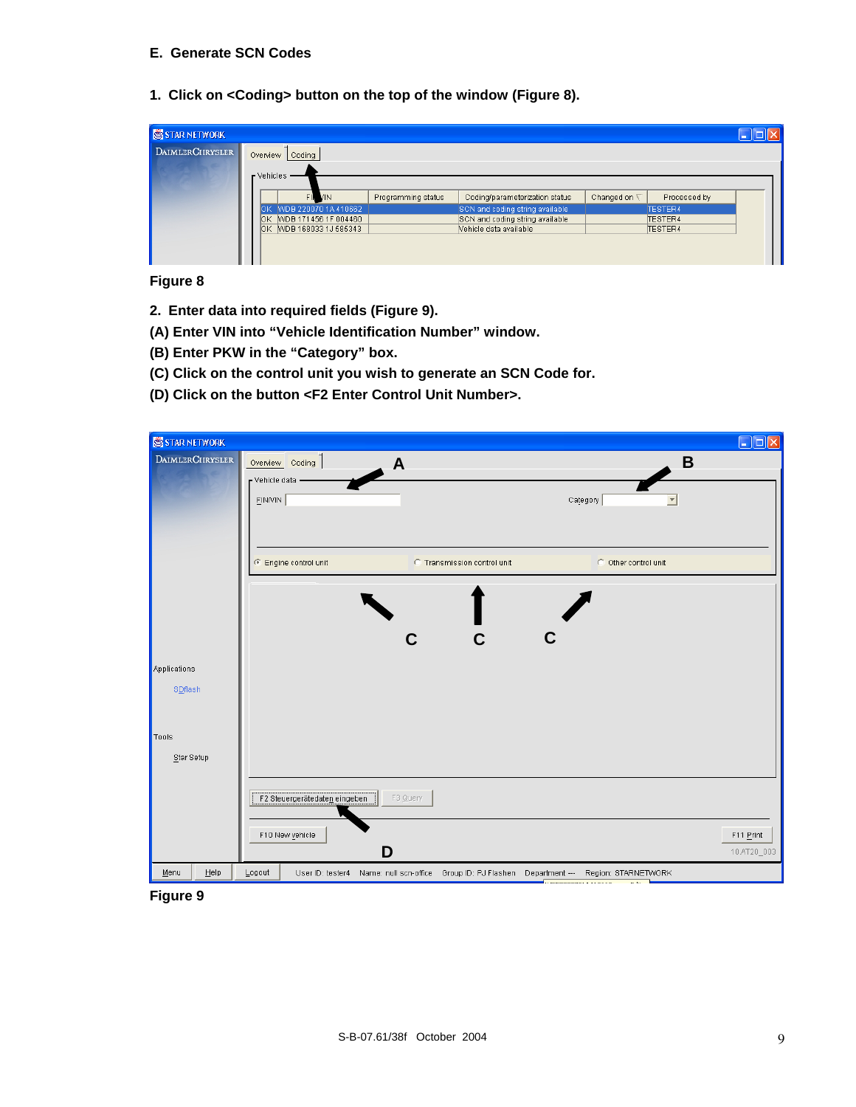#### **E. Generate SCN Codes**

**1. Click on <Coding> button on the top of the window (Figure 8).** 

| Programming status                                                   | Coding/parameterization status | Changed on $\nabla$                                                                          | Processed by |                    |
|----------------------------------------------------------------------|--------------------------------|----------------------------------------------------------------------------------------------|--------------|--------------------|
|                                                                      |                                |                                                                                              | TESTER4      |                    |
|                                                                      |                                |                                                                                              |              |                    |
|                                                                      |                                |                                                                                              |              |                    |
|                                                                      |                                |                                                                                              |              |                    |
|                                                                      |                                |                                                                                              |              |                    |
| Coding<br>FII VIN<br>OK WDB 220070 1A 410662<br>MDB 171456 1F 004460 |                                | SCN and coding string available<br>SCN and coding string available<br>Vehicle data available |              | TESTER4<br>TESTER4 |

**Figure 8** 

- **2. Enter data into required fields (Figure 9).**
- **(A) Enter VIN into "Vehicle Identification Number" window.**
- **(B) Enter PKW in the "Category" box.**
- **(C) Click on the control unit you wish to generate an SCN Code for.**
- **(D) Click on the button <F2 Enter Control Unit Number>.**

| STAR NETWORK    |                                           |                                                                                                                           | $\square$ o $\times$     |
|-----------------|-------------------------------------------|---------------------------------------------------------------------------------------------------------------------------|--------------------------|
| DAIMLERCHRYSLER | Overview Coding<br>A                      |                                                                                                                           | B                        |
|                 | - Vehicle data -                          |                                                                                                                           |                          |
|                 | EIN/VIN                                   | Category                                                                                                                  | $\overline{\phantom{a}}$ |
|                 |                                           |                                                                                                                           |                          |
|                 |                                           |                                                                                                                           |                          |
|                 | ⊙ Engine control unit                     | C Transmission control unit                                                                                               | C Other control unit     |
|                 |                                           |                                                                                                                           |                          |
|                 |                                           |                                                                                                                           |                          |
|                 |                                           |                                                                                                                           |                          |
|                 | C                                         | $\mathbf C$                                                                                                               |                          |
| Applications    |                                           |                                                                                                                           |                          |
| SDflash         |                                           |                                                                                                                           |                          |
|                 |                                           |                                                                                                                           |                          |
| Tools           |                                           |                                                                                                                           |                          |
| Star Setup      |                                           |                                                                                                                           |                          |
|                 |                                           |                                                                                                                           |                          |
|                 | F2 Steuergerätedaten eingeben<br>F3 Query |                                                                                                                           |                          |
|                 |                                           |                                                                                                                           |                          |
|                 | F10 New vehicle                           |                                                                                                                           | F11 Print                |
|                 | D                                         |                                                                                                                           | 10.AT20_003              |
| Help<br>Menu    | Logout                                    | User ID: tester4 Name: null scn-office Group ID: PJ Flashen Department --- Region: STARNETWORK<br><b>URBOSSON LUGSSON</b> |                          |

**Figure 9**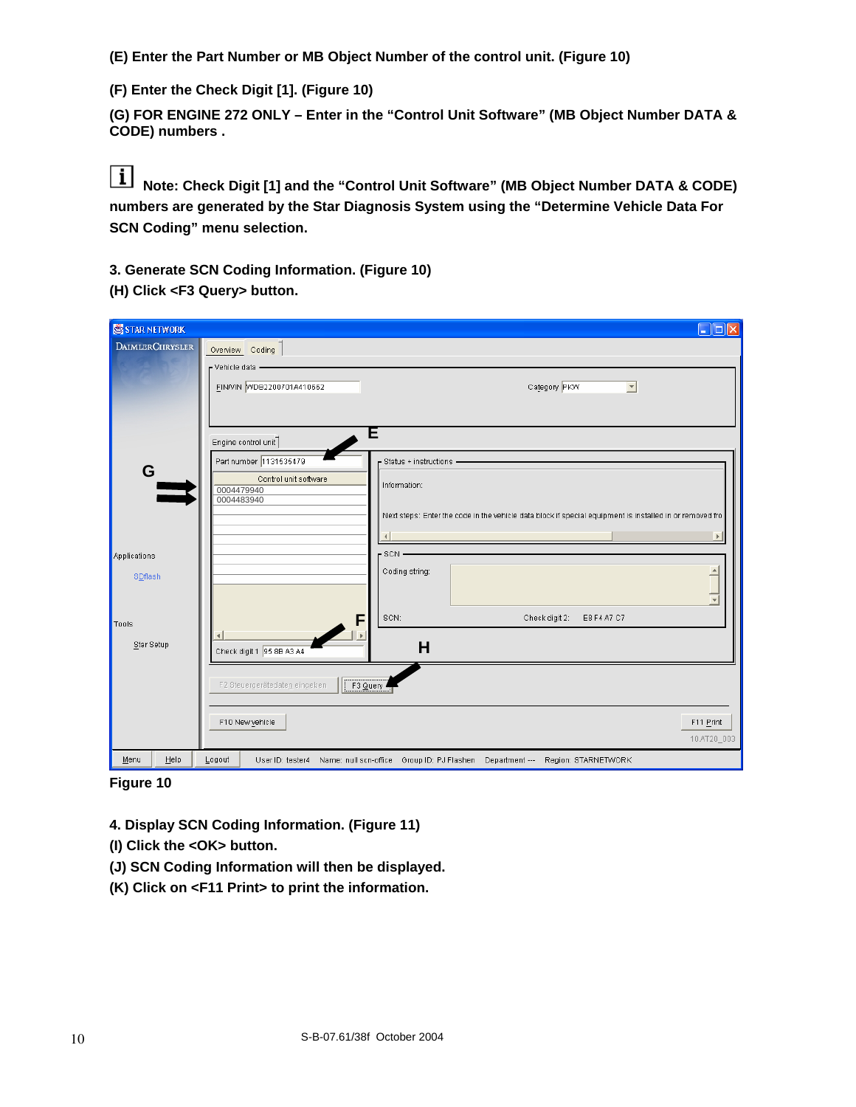**(E) Enter the Part Number or MB Object Number of the control unit. (Figure 10)** 

**(F) Enter the Check Digit [1]. (Figure 10)** 

**(G) FOR ENGINE 272 ONLY – Enter in the "Control Unit Software" (MB Object Number DATA & CODE) numbers .** 

**Note: Check Digit [1] and the "Control Unit Software" (MB Object Number DATA & CODE) numbers are generated by the Star Diagnosis System using the "Determine Vehicle Data For SCN Coding" menu selection.** 

**3. Generate SCN Coding Information. (Figure 10)** 

**(H) Click <F3 Query> button.** 

| STAR NETWORK           | $\Box$ o $\boxtimes$                                                                                     |
|------------------------|----------------------------------------------------------------------------------------------------------|
| <b>DAIMLERCHRYSLER</b> | Overview Coding<br>r Vehicle data –                                                                      |
|                        | FINNIN WDB2200701A410662<br>Category PKW<br>$\blacktriangledown$                                         |
|                        | Έ<br>Engine control unit                                                                                 |
| G                      | Part number 1131535479<br>Status + instructions -                                                        |
|                        | Control unit software<br>Information:<br>0004479940<br>0004483940                                        |
|                        | Next steps: Enter the code in the vehicle data block if special equipment is installed in or removed fro |
|                        | $\overline{\P}$                                                                                          |
| Applications           | $-$ SCN $-$<br>Coding string:                                                                            |
| SDflash                |                                                                                                          |
| Tools                  | SCN:<br>Check digit 2:<br>E8 F4 A7 C7<br>F                                                               |
| Star Setup             | $\blacktriangleleft$<br>H<br>Check digit 1 95 8B A3 A4                                                   |
|                        | F3 Query<br>F2 Steuergerätedaten eingeben                                                                |
|                        | F10 New vehicle<br>F11 Print<br>10.AT20_003                                                              |
| Help<br>Menu           | Logout<br>User ID: tester4 Name: null scn-office Group ID: PJ Flashen Department --- Region: STARNETWORK |

**Figure 10** 

**4. Display SCN Coding Information. (Figure 11)** 

**(I) Click the <OK> button.** 

- **(J) SCN Coding Information will then be displayed.**
- **(K) Click on <F11 Print> to print the information.**